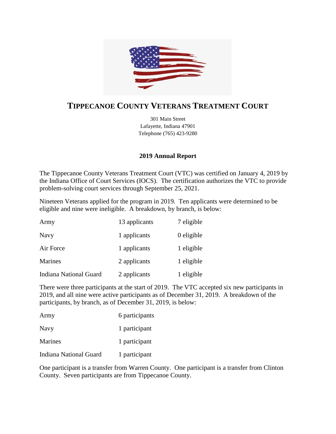

# **TIPPECANOE COUNTY VETERANS TREATMENT COURT**

301 Main Street Lafayette, Indiana 47901 Telephone (765) 423-9280

### **2019 Annual Report**

The Tippecanoe County Veterans Treatment Court (VTC) was certified on January 4, 2019 by the Indiana Office of Court Services (IOCS). The certification authorizes the VTC to provide problem-solving court services through September 25, 2021.

Nineteen Veterans applied for the program in 2019. Ten applicants were determined to be eligible and nine were ineligible. A breakdown, by branch, is below:

| Army                          | 13 applicants | 7 eligible |
|-------------------------------|---------------|------------|
| Navy                          | 1 applicants  | 0 eligible |
| Air Force                     | 1 applicants  | 1 eligible |
| <b>Marines</b>                | 2 applicants  | 1 eligible |
| <b>Indiana National Guard</b> | 2 applicants  | 1 eligible |

There were three participants at the start of 2019. The VTC accepted six new participants in 2019, and all nine were active participants as of December 31, 2019. A breakdown of the participants, by branch, as of December 31, 2019, is below:

| Army                   | 6 participants |
|------------------------|----------------|
| Navy                   | 1 participant  |
| <b>Marines</b>         | 1 participant  |
| Indiana National Guard | 1 participant  |

One participant is a transfer from Warren County. One participant is a transfer from Clinton County. Seven participants are from Tippecanoe County.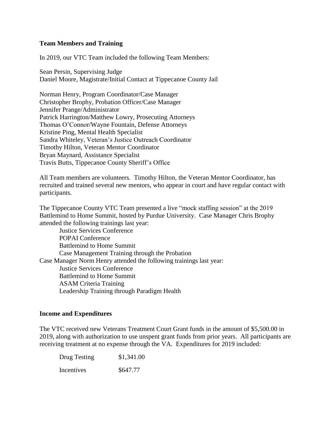## **Team Members and Training**

In 2019, our VTC Team included the following Team Members:

Sean Persin, Supervising Judge Daniel Moore, Magistrate/Initial Contact at Tippecanoe County Jail

Norman Henry, Program Coordinator/Case Manager Christopher Brophy, Probation Officer/Case Manager Jennifer Prange/Administrator Patrick Harrington/Matthew Lowry, Prosecuting Attorneys Thomas O'Connor/Wayne Fountain, Defense Attorneys Kristine Ping, Mental Health Specialist Sandra Whiteley, Veteran's Justice Outreach Coordinator Timothy Hilton, Veteran Mentor Coordinator Bryan Maynard, Assistance Specialist Travis Butts, Tippecanoe County Sheriff's Office

All Team members are volunteers. Timothy Hilton, the Veteran Mentor Coordinator, has recruited and trained several new mentors, who appear in court and have regular contact with participants.

The Tippecanoe County VTC Team presented a live "mock staffing session" at the 2019 Battlemind to Home Summit, hosted by Purdue University. Case Manager Chris Brophy attended the following trainings last year:

Justice Services Conference POPAI Conference Battlemind to Home Summit Case Management Training through the Probation Case Manager Norm Henry attended the following trainings last year: Justice Services Conference Battlemind to Home Summit ASAM Criteria Training Leadership Training through Paradigm Health

### **Income and Expenditures**

The VTC received new Veterans Treatment Court Grant funds in the amount of \$5,500.00 in 2019, along with authorization to use unspent grant funds from prior years. All participants are receiving treatment at no expense through the VA. Expenditures for 2019 included:

| Drug Testing | \$1,341.00 |
|--------------|------------|
| Incentives   | \$647.77   |